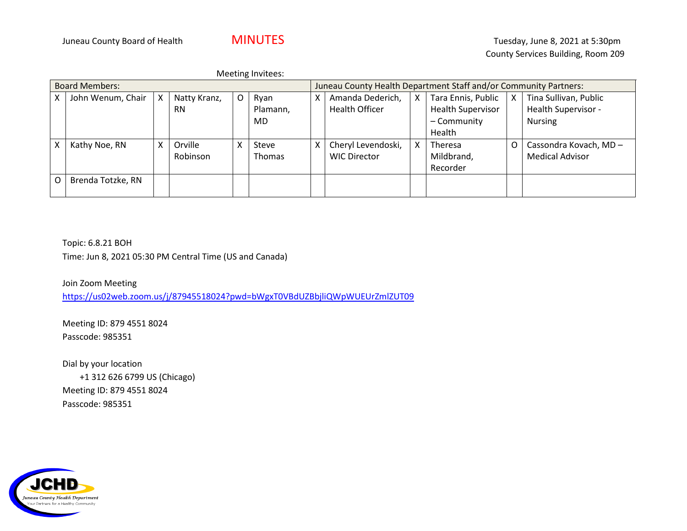|                       | Meeting Invitees: |                           |              |                                                                  |               |   |                       |    |                          |   |                        |
|-----------------------|-------------------|---------------------------|--------------|------------------------------------------------------------------|---------------|---|-----------------------|----|--------------------------|---|------------------------|
| <b>Board Members:</b> |                   |                           |              | Juneau County Health Department Staff and/or Community Partners: |               |   |                       |    |                          |   |                        |
| X.                    | John Wenum, Chair | $\boldsymbol{\mathsf{X}}$ | Natty Kranz, | O                                                                | Ryan          | x | Amanda Dederich,      | X. | Tara Ennis, Public       | X | Tina Sullivan, Public  |
|                       |                   |                           | <b>RN</b>    |                                                                  | Plamann,      |   | <b>Health Officer</b> |    | <b>Health Supervisor</b> |   | Health Supervisor -    |
|                       |                   |                           |              |                                                                  | MD.           |   |                       |    | - Community              |   | <b>Nursing</b>         |
|                       |                   |                           |              |                                                                  |               |   |                       |    | Health                   |   |                        |
| Χ                     | Kathy Noe, RN     | x                         | Orville      | Χ                                                                | Steve         | Χ | Cheryl Levendoski,    | x  | Theresa                  | O | Cassondra Kovach, MD - |
|                       |                   |                           | Robinson     |                                                                  | <b>Thomas</b> |   | <b>WIC Director</b>   |    | Mildbrand,               |   | <b>Medical Advisor</b> |
|                       |                   |                           |              |                                                                  |               |   |                       |    | Recorder                 |   |                        |
| O                     | Brenda Totzke, RN |                           |              |                                                                  |               |   |                       |    |                          |   |                        |
|                       |                   |                           |              |                                                                  |               |   |                       |    |                          |   |                        |

Topic: 6.8.21 BOH Time: Jun 8, 2021 05:30 PM Central Time (US and Canada)

Join Zoom Meeting <https://us02web.zoom.us/j/87945518024?pwd=bWgxT0VBdUZBbjliQWpWUEUrZmlZUT09>

Meeting ID: 879 4551 8024 Passcode: 985351

Dial by your location +1 312 626 6799 US (Chicago) Meeting ID: 879 4551 8024 Passcode: 985351

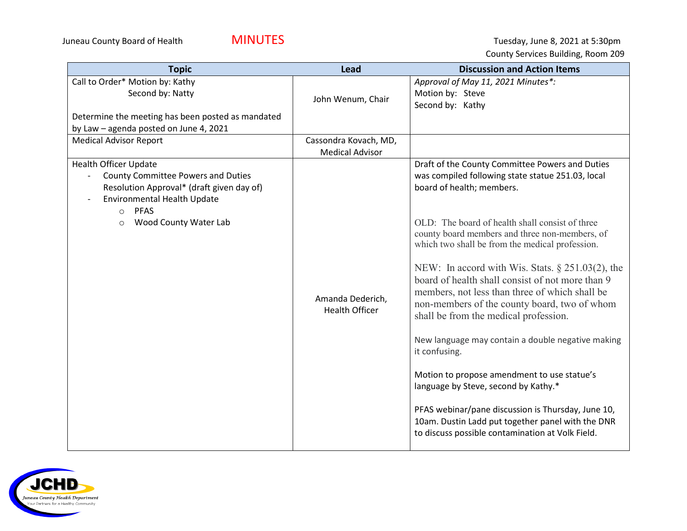| <b>Topic</b>                                                                                                                                                                    | <b>Lead</b>                                     | <b>Discussion and Action Items</b>                                                                                                                                                                                                                 |
|---------------------------------------------------------------------------------------------------------------------------------------------------------------------------------|-------------------------------------------------|----------------------------------------------------------------------------------------------------------------------------------------------------------------------------------------------------------------------------------------------------|
| Call to Order* Motion by: Kathy<br>Second by: Natty<br>Determine the meeting has been posted as mandated<br>by Law - agenda posted on June 4, 2021                              | John Wenum, Chair                               | Approval of May 11, 2021 Minutes*:<br>Motion by: Steve<br>Second by: Kathy                                                                                                                                                                         |
| <b>Medical Advisor Report</b>                                                                                                                                                   | Cassondra Kovach, MD,<br><b>Medical Advisor</b> |                                                                                                                                                                                                                                                    |
| <b>Health Officer Update</b><br><b>County Committee Powers and Duties</b><br>Resolution Approval* (draft given day of)<br>Environmental Health Update<br><b>PFAS</b><br>$\circ$ |                                                 | Draft of the County Committee Powers and Duties<br>was compiled following state statue 251.03, local<br>board of health; members.                                                                                                                  |
| Wood County Water Lab<br>$\circ$                                                                                                                                                |                                                 | OLD: The board of health shall consist of three<br>county board members and three non-members, of<br>which two shall be from the medical profession.                                                                                               |
|                                                                                                                                                                                 | Amanda Dederich,<br><b>Health Officer</b>       | NEW: In accord with Wis. Stats. $\S$ 251.03(2), the<br>board of health shall consist of not more than 9<br>members, not less than three of which shall be<br>non-members of the county board, two of whom<br>shall be from the medical profession. |
|                                                                                                                                                                                 |                                                 | New language may contain a double negative making<br>it confusing.                                                                                                                                                                                 |
|                                                                                                                                                                                 |                                                 | Motion to propose amendment to use statue's<br>language by Steve, second by Kathy.*                                                                                                                                                                |
|                                                                                                                                                                                 |                                                 | PFAS webinar/pane discussion is Thursday, June 10,<br>10am. Dustin Ladd put together panel with the DNR<br>to discuss possible contamination at Volk Field.                                                                                        |

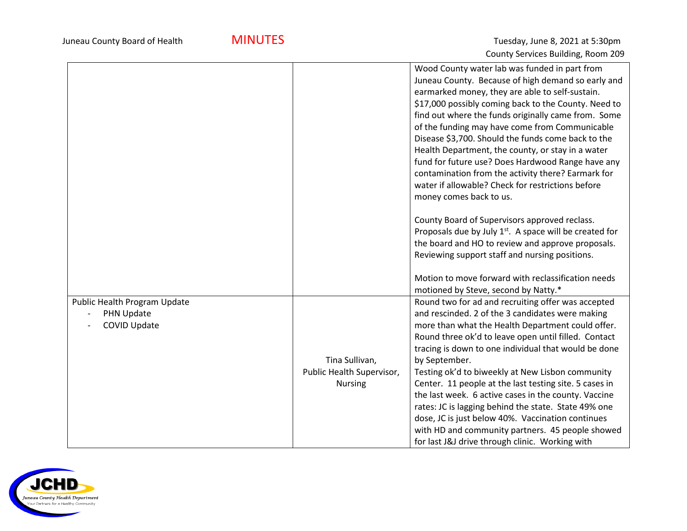|                              |                           | Wood County water lab was funded in part from          |
|------------------------------|---------------------------|--------------------------------------------------------|
|                              |                           | Juneau County. Because of high demand so early and     |
|                              |                           | earmarked money, they are able to self-sustain.        |
|                              |                           | \$17,000 possibly coming back to the County. Need to   |
|                              |                           | find out where the funds originally came from. Some    |
|                              |                           | of the funding may have come from Communicable         |
|                              |                           | Disease \$3,700. Should the funds come back to the     |
|                              |                           | Health Department, the county, or stay in a water      |
|                              |                           | fund for future use? Does Hardwood Range have any      |
|                              |                           | contamination from the activity there? Earmark for     |
|                              |                           | water if allowable? Check for restrictions before      |
|                              |                           | money comes back to us.                                |
|                              |                           | County Board of Supervisors approved reclass.          |
|                              |                           | Proposals due by July 1st. A space will be created for |
|                              |                           | the board and HO to review and approve proposals.      |
|                              |                           | Reviewing support staff and nursing positions.         |
|                              |                           | Motion to move forward with reclassification needs     |
|                              |                           | motioned by Steve, second by Natty.*                   |
| Public Health Program Update |                           | Round two for ad and recruiting offer was accepted     |
| PHN Update                   |                           | and rescinded. 2 of the 3 candidates were making       |
| <b>COVID Update</b>          |                           | more than what the Health Department could offer.      |
|                              |                           | Round three ok'd to leave open until filled. Contact   |
|                              |                           | tracing is down to one individual that would be done   |
|                              | Tina Sullivan,            | by September.                                          |
|                              | Public Health Supervisor, | Testing ok'd to biweekly at New Lisbon community       |
|                              | <b>Nursing</b>            | Center. 11 people at the last testing site. 5 cases in |
|                              |                           | the last week. 6 active cases in the county. Vaccine   |
|                              |                           | rates: JC is lagging behind the state. State 49% one   |
|                              |                           | dose, JC is just below 40%. Vaccination continues      |
|                              |                           | with HD and community partners. 45 people showed       |
|                              |                           | for last J&J drive through clinic. Working with        |